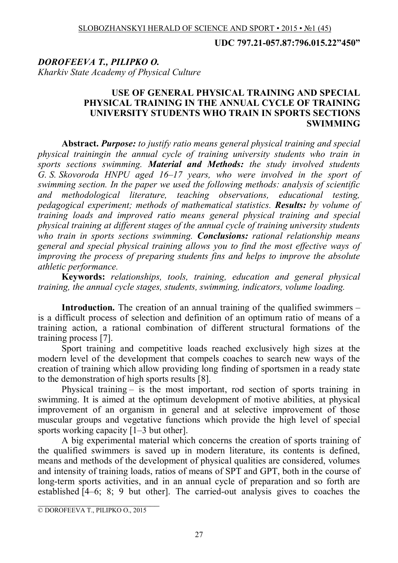**UDC 797.21-057.87:796.015.22"450"**

# *DOROFEEVA T., PILIPKO O. Kharkiv State Academy of Physical Culture*

### **USE OF GENERAL PHYSICAL TRAINING AND SPECIAL PHYSICAL TRAINING IN THE ANNUAL CYCLE OF TRAINING UNIVERSITY STUDENTS WHO TRAIN IN SPORTS SECTIONS SWIMMING**

**Abstract.** *Purpose: to justify ratio means general physical training and special physical trainingin the annual cycle of training university students who train in sports sections swimming. Material and Methods: the study involved students G. S. Skovoroda HNPU aged 16–17 years, who were involved in the sport of swimming section. In the paper we used the following methods: analysis of scientific and methodological literature, teaching observations, educational testing, pedagogical experiment; methods of mathematical statistics. Results: by volume of training loads and improved ratio means general physical training and special physical training at different stages of the annual cycle of training university students who train in sports sections swimming. Conclusions: rational relationship means general and special physical training allows you to find the most effective ways of improving the process of preparing students fins and helps to improve the absolute athletic performance.*

**Keywords:** *relationships, tools, training, education and general physical training, the annual cycle stages, students, swimming, indicators, volume loading.*

**Introduction.** The creation of an annual training of the qualified swimmers – is a difficult process of selection and definition of an optimum ratio of means of a training action, a rational combination of different structural formations of the training process [7].

Sport training and competitive loads reached exclusively high sizes at the modern level of the development that compels coaches to search new ways of the creation of training which allow providing long finding of sportsmen in a ready state to the demonstration of high sports results [8].

Physical training – is the most important, rod section of sports training in swimming. It is aimed at the optimum development of motive abilities, at physical improvement of an organism in general and at selective improvement of those muscular groups and vegetative functions which provide the high level of special sports working capacity [1–3 but other].

A big experimental material which concerns the creation of sports training of the qualified swimmers is saved up in modern literature, its contents is defined, means and methods of the development of physical qualities are considered, volumes and intensity of training loads, ratios of means of SPT and GPT, both in the course of long-term sports activities, and in an annual cycle of preparation and so forth are established [4–6; 8; 9 but other]. The carried-out analysis gives to coaches the

 $\overline{\phantom{a}}$  , which is a set of the set of the set of the set of the set of the set of the set of the set of the set of the set of the set of the set of the set of the set of the set of the set of the set of the set of th © DOROFEEVA T., PILIPKO O., 2015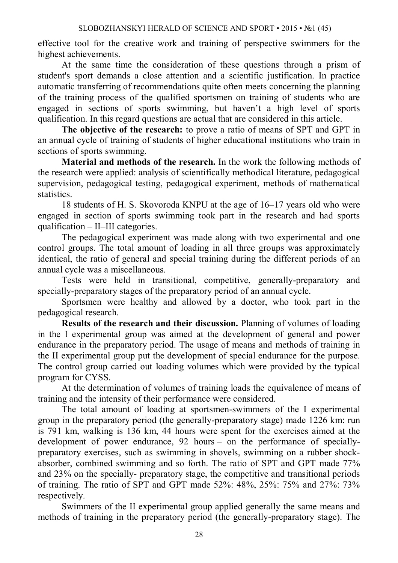effective tool for the creative work and training of perspective swimmers for the highest achievements.

At the same time the consideration of these questions through a prism of student's sport demands a close attention and a scientific justification. In practice automatic transferring of recommendations quite often meets concerning the planning of the training process of the qualified sportsmen on training of students who are engaged in sections of sports swimming, but haven't a high level of sports qualification. In this regard questions are actual that are considered in this article.

**The objective of the research:** to prove a ratio of means of SPT and GPT in an annual cycle of training of students of higher educational institutions who train in sections of sports swimming.

**Material and methods of the research.** In the work the following methods of the research were applied: analysis of scientifically methodical literature, pedagogical supervision, pedagogical testing, pedagogical experiment, methods of mathematical statistics.

18 students of H. S. Skovoroda KNPU at the age of 16–17 years old who were engaged in section of sports swimming took part in the research and had sports qualification – ІІ–III categories.

The pedagogical experiment was made along with two experimental and one control groups. The total amount of loading in all three groups was approximately identical, the ratio of general and special training during the different periods of an annual cycle was a miscellaneous.

Tests were held in transitional, competitive, generally-preparatory and specially-preparatory stages of the preparatory period of an annual cycle.

Sportsmen were healthy and allowed by a doctor, who took part in the pedagogical research.

**Results of the research and their discussion.** Planning of volumes of loading in the I experimental group was aimed at the development of general and power endurance in the preparatory period. The usage of means and methods of training in the II experimental group put the development of special endurance for the purpose. The control group carried out loading volumes which were provided by the typical program for CYSS.

At the determination of volumes of training loads the equivalence of means of training and the intensity of their performance were considered.

The total amount of loading at sportsmen-swimmers of the I experimental group in the preparatory period (the generally-preparatory stage) made 1226 km: run is 791 km, walking is 136 km, 44 hours were spent for the exercises aimed at the development of power endurance, 92 hours – on the performance of speciallypreparatory exercises, such as swimming in shovels, swimming on a rubber shockabsorber, combined swimming and so forth. The ratio of SPT and GPT made 77% and 23% on the specially- preparatory stage, the competitive and transitional periods of training. The ratio of SPT and GPT made 52%: 48%, 25%: 75% and 27%: 73% respectively.

Swimmers of the II experimental group applied generally the same means and methods of training in the preparatory period (the generally-preparatory stage). The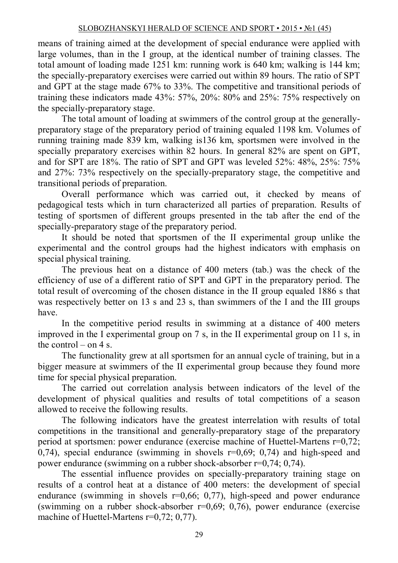### SLOBOZHANSKYI HERALD OF SCIENCE AND SPORT • 2015 • №1 (45)

means of training aimed at the development of special endurance were applied with large volumes, than in the I group, at the identical number of training classes. The total amount of loading made 1251 km: running work is 640 km; walking is 144 km; the specially-preparatory exercises were carried out within 89 hours. The ratio of SPT and GPT at the stage made 67% to 33%. The competitive and transitional periods of training these indicators made 43%: 57%, 20%: 80% and 25%: 75% respectively on the specially-preparatory stage.

The total amount of loading at swimmers of the control group at the generallypreparatory stage of the preparatory period of training equaled 1198 km. Volumes of running training made 839 km, walking is136 km, sportsmen were involved in the specially preparatory exercises within 82 hours. In general 82% are spent on GPT, and for SPT are 18%. The ratio of SPT and GPT was leveled 52%: 48%, 25%: 75% and 27%: 73% respectively on the specially-preparatory stage, the competitive and transitional periods of preparation.

Overall performance which was carried out, it checked by means of pedagogical tests which in turn characterized all parties of preparation. Results of testing of sportsmen of different groups presented in the tab after the end of the specially-preparatory stage of the preparatory period.

It should be noted that sportsmen of the ІІ experimental group unlike the experimental and the control groups had the highest indicators with emphasis on special physical training.

The previous heat on a distance of 400 meters (tab.) was the check of the efficiency of use of a different ratio of SPT and GPT in the preparatory period. The total result of overcoming of the chosen distance in the II group equaled 1886 s that was respectively better on 13 s and 23 s, than swimmers of the I and the III groups have.

In the competitive period results in swimming at a distance of 400 meters improved in the I experimental group on 7 s, in the II experimental group on 11 s, in the control – on 4 s.

The functionality grew at all sportsmen for an annual cycle of training, but in a bigger measure at swimmers of the ІІ experimental group because they found more time for special physical preparation.

The carried out correlation analysis between indicators of the level of the development of physical qualities and results of total competitions of a season allowed to receive the following results.

The following indicators have the greatest interrelation with results of total competitions in the transitional and generally-preparatory stage of the preparatory period at sportsmen: power endurance (exercise machine of Huettel-Martens r=0,72; 0,74), special endurance (swimming in shovels r=0,69; 0,74) and high-speed and power endurance (swimming on a rubber shock-absorber r=0,74; 0,74).

The essential influence provides on specially-preparatory training stage on results of a control heat at a distance of 400 meters: the development of special endurance (swimming in shovels  $r=0.66$ ; 0,77), high-speed and power endurance (swimming on a rubber shock-absorber  $r=0.69$ ; 0,76), power endurance (exercise machine of Huettel-Martens r=0,72; 0,77).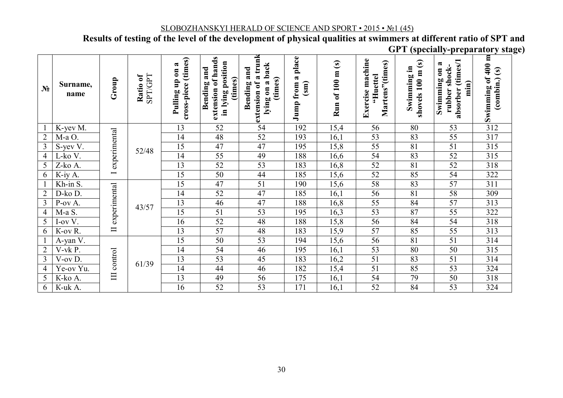SLOBOZHANSKYI HERALD OF SCIENCE AND SPORT · 2015 · No1 (45)<br>Results of testing of the level of the development of physical qualities at swimmers at different ratio of SPT and **GPT** (specially-preparatory stage)

| N <sub>2</sub> | Surname,<br>name | Group                                    | <b>SPT/GPT</b><br>Ratio of | cross-piece (times)<br>a<br>Pulling up on | S<br>extension of hand<br>in lying position<br>and<br>(times)<br>Bending | a trunk<br>back<br>and<br>(times)<br>lying on a<br>Bending<br>extension of | a place<br>Jump from<br>$\binom{sm}{s}$ | $\odot$<br>Run of 100 m | Exercise machine<br>Martens"(times)<br>'Huettel | m(s)<br>Swimming in<br>100<br>shovels | (times/1<br>a<br>rubber shock-<br>$\overline{\phantom{0}}$<br>Swimming<br>min)<br>absorber | Swimming of $400$ m<br>$\left(\text{combin},\text{}(s)\right)$ |
|----------------|------------------|------------------------------------------|----------------------------|-------------------------------------------|--------------------------------------------------------------------------|----------------------------------------------------------------------------|-----------------------------------------|-------------------------|-------------------------------------------------|---------------------------------------|--------------------------------------------------------------------------------------------|----------------------------------------------------------------|
|                | K-yev M.         | experimental<br>$\overline{\phantom{0}}$ | 52/48                      | 13                                        | 52                                                                       | 54                                                                         | 192                                     | 15,4                    | 56                                              | 80                                    | 53                                                                                         | 312                                                            |
| $\overline{2}$ | M-a O.           |                                          |                            | 14                                        | 48                                                                       | 52                                                                         | 193                                     | 16,1                    | 53                                              | 83                                    | 55                                                                                         | 317                                                            |
| 3              | S-yev V.         |                                          |                            | 15                                        | 47                                                                       | 47                                                                         | 195                                     | 15,8                    | 55                                              | 81                                    | 51                                                                                         | 315                                                            |
| $\overline{4}$ | L-ko V.          |                                          |                            | 14                                        | 55                                                                       | 49                                                                         | 188                                     | 16,6                    | 54                                              | 83                                    | 52                                                                                         | 315                                                            |
| 5              | Z-ko A.          |                                          |                            | 13                                        | 52                                                                       | 53                                                                         | 183                                     | 16,8                    | 52                                              | 81                                    | 52                                                                                         | 318                                                            |
| 6              | K-iy A.          |                                          |                            | 15                                        | 50                                                                       | 44                                                                         | 185                                     | 15,6                    | 52                                              | 85                                    | 54                                                                                         | 322                                                            |
|                | Kh-in S.         | experimental<br>$\Box$                   | 43/57                      | 15                                        | 47                                                                       | 51                                                                         | 190                                     | 15,6                    | 58                                              | 83                                    | 57                                                                                         | 311                                                            |
| $\overline{2}$ | D-ko D.          |                                          |                            | 14                                        | 52                                                                       | 47                                                                         | 185                                     | 16,1                    | 56                                              | 81                                    | 58                                                                                         | 309                                                            |
| $\overline{3}$ | P-ov A.          |                                          |                            | 13                                        | 46                                                                       | 47                                                                         | 188                                     | 16,8                    | 55                                              | 84                                    | 57                                                                                         | 313                                                            |
| 4              | M-a S.           |                                          |                            | 15                                        | 51                                                                       | 53                                                                         | 195                                     | 16,3                    | 53                                              | 87                                    | 55                                                                                         | 322                                                            |
| 5              | I-ov V.          |                                          |                            | 16                                        | 52                                                                       | 48                                                                         | 188                                     | 15,8                    | 56                                              | 84                                    | 54                                                                                         | 318                                                            |
| 6              | K-ov R.          |                                          |                            | 13                                        | $\overline{57}$                                                          | 48                                                                         | 183                                     | 15,9                    | 57                                              | 85                                    | 55                                                                                         | 313                                                            |
|                | A-yan V.         | III control                              | 61/39                      | 15                                        | $\overline{50}$                                                          | 53                                                                         | 194                                     | 15,6                    | 56                                              | 81                                    | 51                                                                                         | 314                                                            |
| $\overline{2}$ | V-vk P.          |                                          |                            | 14                                        | 54                                                                       | 46                                                                         | 195                                     | 16,1                    | 53                                              | 80                                    | 50                                                                                         | 315                                                            |
| $\overline{3}$ | V-ov D.          |                                          |                            | 13                                        | 53                                                                       | 45                                                                         | 183                                     | 16,2                    | 51                                              | 83                                    | 51                                                                                         | 314                                                            |
| 4              | Ye-ov Yu.        |                                          |                            | 14                                        | 44                                                                       | 46                                                                         | 182                                     | 15,4                    | 51                                              | 85                                    | 53                                                                                         | 324                                                            |
| 5              | K-ko A.          |                                          |                            | 13                                        | 49                                                                       | 56                                                                         | 175                                     | 16,1                    | 54                                              | 79                                    | 50                                                                                         | 318                                                            |
| 6              | K-uk A.          |                                          |                            | 16                                        | 52                                                                       | 53                                                                         | 171                                     | 16,1                    | 52                                              | 84                                    | 53                                                                                         | 324                                                            |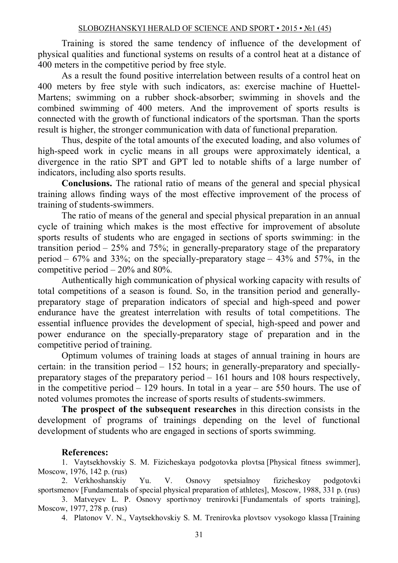Training is stored the same tendency of influence of the development of physical qualities and functional systems on results of a control heat at a distance of 400 meters in the competitive period by free style.

As a result the found positive interrelation between results of a control heat on 400 meters by free style with such indicators, as: exercise machine of Huettel-Martens; swimming on a rubber shock-absorber; swimming in shovels and the combined swimming of 400 meters. And the improvement of sports results is connected with the growth of functional indicators of the sportsman. Than the sports result is higher, the stronger communication with data of functional preparation.

Thus, despite of the total amounts of the executed loading, and also volumes of high-speed work in cyclic means in all groups were approximately identical, a divergence in the ratio SPT and GPT led to notable shifts of a large number of indicators, including also sports results.

**Conclusions.** The rational ratio of means of the general and special physical training allows finding ways of the most effective improvement of the process of training of students-swimmers.

The ratio of means of the general and special physical preparation in an annual cycle of training which makes is the most effective for improvement of absolute sports results of students who are engaged in sections of sports swimming: in the transition period –  $25\%$  and  $75\%$ ; in generally-preparatory stage of the preparatory period –  $67\%$  and  $33\%$ ; on the specially-preparatory stage –  $43\%$  and  $57\%$ , in the competitive period – 20% and 80%.

Authentically high communication of physical working capacity with results of total competitions of a season is found. So, in the transition period and generallypreparatory stage of preparation indicators of special and high-speed and power endurance have the greatest interrelation with results of total competitions. The essential influence provides the development of special, high-speed and power and power endurance on the specially-preparatory stage of preparation and in the competitive period of training.

Optimum volumes of training loads at stages of annual training in hours are certain: in the transition period – 152 hours; in generally-preparatory and speciallypreparatory stages of the preparatory period – 161 hours and 108 hours respectively, in the competitive period – 129 hours. In total in a year – are 550 hours. The use of noted volumes promotes the increase of sports results of students-swimmers.

**The prospect of the subsequent researches** in this direction consists in the development of programs of trainings depending on the level of functional development of students who are engaged in sections of sports swimming.

## **References:**

1. Vaytsekhovskiy S. M. Fizicheskaya podgotovka plovtsa [Physical fitness swimmer], Moscow, 1976, 142 p. (rus)

2. Verkhoshanskiy Yu. V. Osnovy spetsialnoy fizicheskoy podgotovki sportsmenov [Fundamentals of special physical preparation of athletes], Moscow, 1988, 331 p. (rus)

3. Matveyev L. P. Osnovy sportivnoy trenirovki [Fundamentals of sports training], Moscow, 1977, 278 p. (rus)

4. Platonov V. N., Vaytsekhovskiy S. M. Trenirovka plovtsov vysokogo klassa [Training